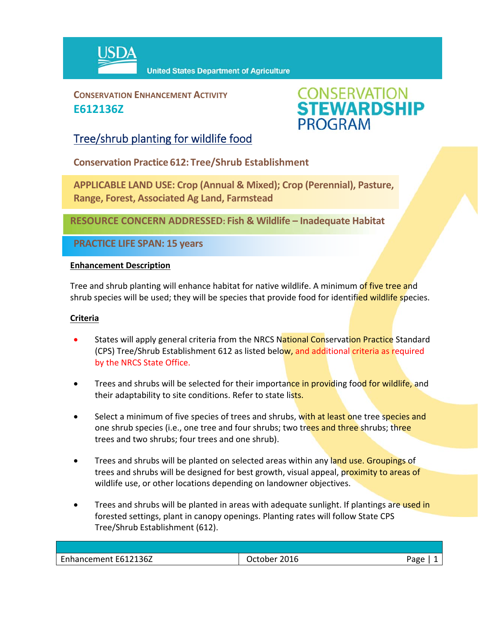

**CONSERVATION ENHANCEMENT ACTIVITY E612136Z**



## Tree/shrub planting for wildlife food

**Conservation Practice 612: Tree/Shrub Establishment**

**APPLICABLE LAND USE: Crop (Annual & Mixed); Crop (Perennial), Pasture, Range, Forest, Associated Ag Land, Farmstead**

**RESOURCE CONCERN ADDRESSED: Fish & Wildlife – Inadequate Habitat**

**PRACTICE LIFE SPAN: 15 years**

### **Enhancement Description**

Tree and shrub planting will enhance habitat for native wildlife. A minimum of five tree and shrub species will be used; they will be species that provide food for identified wildlife species.

### **Criteria**

- States will apply general criteria from the NRCS National Conservation Practice Standard (CPS) Tree/Shrub Establishment 612 as listed below, and additional criteria as required by the NRCS State Office.
- Trees and shrubs will be selected for their importance in providing food for wildlife, and their adaptability to site conditions. Refer to state lists.
- Select a minimum of five species of trees and shrubs, with at least one tree species and one shrub species (i.e., one tree and four shrubs; two trees and three shrubs; three trees and two shrubs; four trees and one shrub).
- Trees and shrubs will be planted on selected areas within any land use. Groupings of trees and shrubs will be designed for best growth, visual appeal, proximity to areas of wildlife use, or other locations depending on landowner objectives.
- Trees and shrubs will be planted in areas with adequate sunlight. If plantings are used in forested settings, plant in canopy openings. Planting rates will follow State CPS Tree/Shrub Establishment (612).

| 136Z<br>مطمعا<br>2016<br>1017ء۔<br>ാറല<br>iancement F |     |   |
|-------------------------------------------------------|-----|---|
|                                                       | ___ | o |